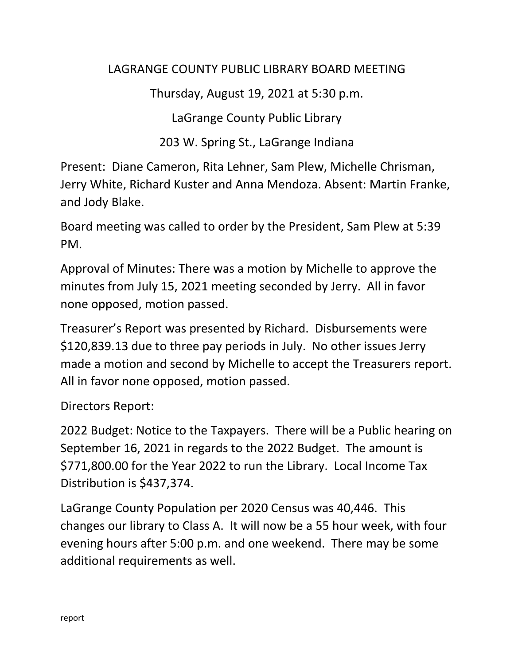## LAGRANGE COUNTY PUBLIC LIBRARY BOARD MEETING

Thursday, August 19, 2021 at 5:30 p.m.

LaGrange County Public Library

203 W. Spring St., LaGrange Indiana

Present: Diane Cameron, Rita Lehner, Sam Plew, Michelle Chrisman, Jerry White, Richard Kuster and Anna Mendoza. Absent: Martin Franke, and Jody Blake.

Board meeting was called to order by the President, Sam Plew at 5:39 PM.

Approval of Minutes: There was a motion by Michelle to approve the minutes from July 15, 2021 meeting seconded by Jerry. All in favor none opposed, motion passed.

Treasurer's Report was presented by Richard. Disbursements were \$120,839.13 due to three pay periods in July. No other issues Jerry made a motion and second by Michelle to accept the Treasurers report. All in favor none opposed, motion passed.

Directors Report:

2022 Budget: Notice to the Taxpayers. There will be a Public hearing on September 16, 2021 in regards to the 2022 Budget. The amount is \$771,800.00 for the Year 2022 to run the Library. Local Income Tax Distribution is \$437,374.

LaGrange County Population per 2020 Census was 40,446. This changes our library to Class A. It will now be a 55 hour week, with four evening hours after 5:00 p.m. and one weekend. There may be some additional requirements as well.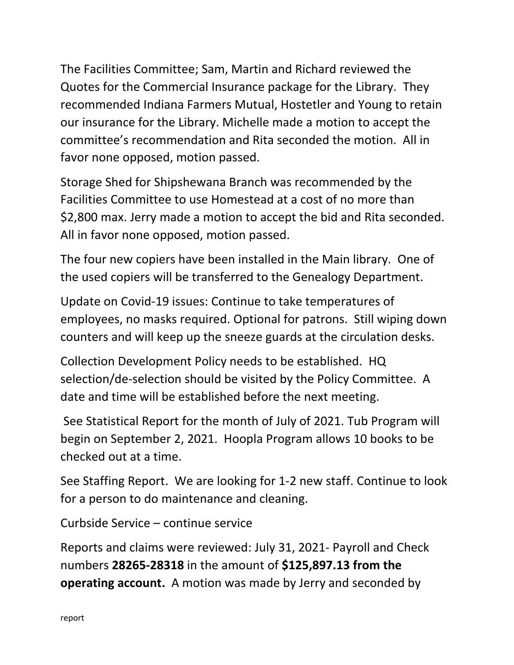The Facilities Committee; Sam, Martin and Richard reviewed the Quotes for the Commercial Insurance package for the Library. They recommended Indiana Farmers Mutual, Hostetler and Young to retain our insurance for the Library. Michelle made a motion to accept the committee's recommendation and Rita seconded the motion. All in favor none opposed, motion passed.

Storage Shed for Shipshewana Branch was recommended by the Facilities Committee to use Homestead at a cost of no more than \$2,800 max. Jerry made a motion to accept the bid and Rita seconded. All in favor none opposed, motion passed.

The four new copiers have been installed in the Main library. One of the used copiers will be transferred to the Genealogy Department.

Update on Covid-19 issues: Continue to take temperatures of employees, no masks required. Optional for patrons. Still wiping down counters and will keep up the sneeze guards at the circulation desks.

Collection Development Policy needs to be established. HQ selection/de-selection should be visited by the Policy Committee. A date and time will be established before the next meeting.

See Statistical Report for the month of July of 2021. Tub Program will begin on September 2, 2021. Hoopla Program allows 10 books to be checked out at a time.

See Staffing Report. We are looking for 1-2 new staff. Continue to look for a person to do maintenance and cleaning.

Curbside Service – continue service

Reports and claims were reviewed: July 31, 2021- Payroll and Check numbers **28265-28318** in the amount of **\$125,897.13 from the operating account.** A motion was made by Jerry and seconded by